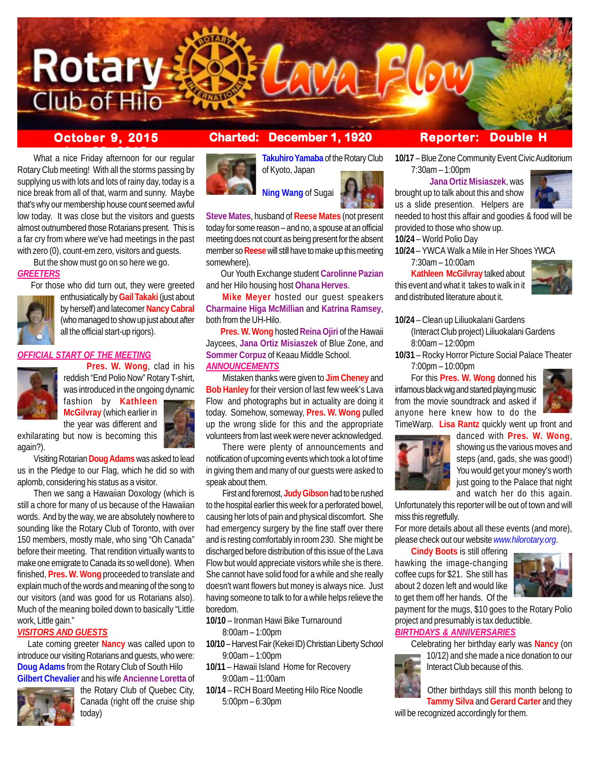

What a nice Friday afternoon for our regular Rotary Club meeting! With all the storms passing by supplying us with lots and lots of rainy day, today is a nice break from all of that, warm and sunny. Maybe that's why our membership house count seemed awful low today. It was close but the visitors and guests almost outnumbered those Rotarians present. This is a far cry from where we've had meetings in the past with zero (0), count-em zero, visitors and guests. But the show must go on so here we go.

 For those who did turn out, they were greeted enthusiatically by **Gail Takaki** (just about by herself) and latecomer **Nancy Cabral**

all the official start-up rigors).

**CIAL START OF THE MEETING** 



**Takuhiro Yamaba** of the Rotary Club of Kyoto, Japan



**Steve Mates**, husband of **Reese Mates** (not present today for some reason – and no, a spouse at an official meeting does not count as being present for the absent member so **Reese** will still have to make up this meeting somewhere).

 Our Youth Exchange student **Carolinne Pazian** and her Hilo housing host **Ohana Herves**.

**Mike Meyer** hosted our guest speakers **Charmaine Higa McMillian** and **Katrina Ramsey**, both from the UH-Hilo.

**Pres. W. Wong** hosted Reina Ojiri of the Hawaii Jaycees, **Jana Ortiz Misiaszek** of Blue Zone, and **Sommer Corpuz** of Keaau Middle School. *ANNOUNCEMENTS*

Mistaken thanks were given to **Jim Cheney** and **Bob Hanley** for their version of last few week's Lava Flow and photographs but in actuality are doing it today. Somehow, someway, **Pres. W. Wong** pulled up the wrong slide for this and the appropriate volunteers from last week were never acknowledged.

There were plenty of announcements and notification of upcoming events which took a lot of time in giving them and many of our guests were asked to speak about them.

First and foremost, **Judy Gibson** had to be rushed to the hospital earlier this week for a perforated bowel, causing her lots of pain and physical discomfort. She had emergency surgery by the fine staff over there and is resting comfortably in room 230. She might be discharged before distribution of this issue of the Lava Flow but would appreciate visitors while she is there. She cannot have solid food for a while and she really doesn't want flowers but money is always nice. Just having someone to talk to for a while helps relieve the boredom.

**10/10** – Ironman Hawi Bike Turnaround 8:00am – 1:00pm

- **10/10** Harvest Fair (Kekei ID) Christian Liberty School 9:00am – 1:00pm
- **10/11** Hawaii Island Home for Recovery 9:00am – 11:00am
- **10/14** RCH Board Meeting Hilo Rice Noodle 5:00pm – 6:30pm

# **October 9, 2015 Charted: December 1, 1920 Reporter: Double H**

**10/17** – Blue Zone Community Event Civic Auditorium 7:30am – 1:00pm

## **Jana Ortiz Misiaszek**, was

brought up to talk about this and show us a slide presention. Helpers are



needed to host this affair and goodies & food will be provided to those who show up.

**10/24** – World Polio Day

**10/24** – YWCA Walk a Mile in Her Shoes YWCA

7:30am – 10:00am

**Kathleen McGilvray** talked about this event and what it takes to walk in it and distributed literature about it.



**10/24** – Clean up Liliuokalani Gardens (Interact Club project) Liliuokalani Gardens 8:00am – 12:00pm

**10/31** – Rocky Horror Picture Social Palace Theater 7:00pm – 10:00pm

For this **Pres. W. Wong** donned his infamous black wig and started playing music from the movie soundtrack and asked if anyone here knew how to do the



TimeWarp. **Lisa Rantz** quickly went up front and



danced with **Pres. W. Wong**, showing us the various moves and steps (and, gads, she was good!) You would get your money's worth just going to the Palace that night and watch her do this again.

Unfortunately this reporter will be out of town and will miss this regretfully.

For more details about all these events (and more), please check out our website *www.hilorotary.org*.

**Cindy Boots** is still offering hawking the image-changing coffee cups for \$21. She still has about 2 dozen left and would like to get them off her hands. Of the



payment for the mugs, \$10 goes to the Rotary Polio project and presumably is tax deductible. *BIRTHDAYS & ANNIVERSARIES*

Celebrating her birthday early was **Nancy** (on 10/12) and she made a nice donation to our Interact Club because of this.

Other birthdays still this month belong to **Tammy Silva** and **Gerard Carter** and they

will be recognized accordingly for them.





*GREETERS*

reddish "End Polio Now" Rotary T-shirt, was introduced in the ongoing dynamic fashion by **Kathleen**

**McGilvray** (which earlier in the year was different and



exhilarating but now is becoming this again?).

Visiting Rotarian **Doug Adams** was asked to lead us in the Pledge to our Flag, which he did so with aplomb, considering his status as a visitor.

Then we sang a Hawaiian Doxology (which is still a chore for many of us because of the Hawaiian words. And by the way, we are absolutely nowhere to sounding like the Rotary Club of Toronto, with over 150 members, mostly male, who sing "Oh Canada" before their meeting. That rendition virtually wants to make one emigrate to Canada its so well done). When finished, **Pres. W. Wong** proceeded to translate and explain much of the words and meaning of the song to our visitors (and was good for us Rotarians also). Much of the meaning boiled down to basically "Little work, Little gain."

## *VISITORS AND GUESTS*

 Late coming greeter **Nancy** was called upon to introduce our visiting Rotarians and guests, who were: **Doug Adams** from the Rotary Club of South Hilo **Gilbert Chevalier** and his wife **Ancienne Loretta** of



the Rotary Club of Quebec City, Canada (right off the cruise ship today)